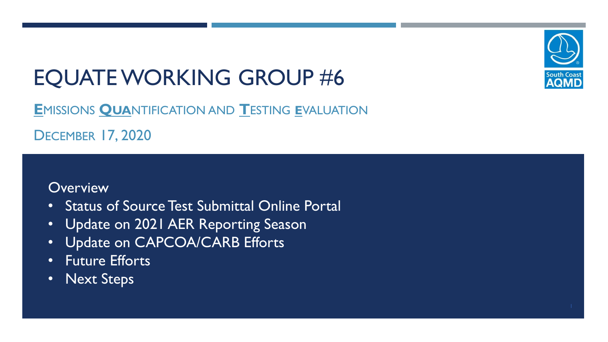# EQUATE WORKING GROUP #6

**E**MISSIONS **QUA**NTIFICATION AND **T**ESTING **E**VALUATION

DECEMBER 17, 2020

#### **Overview**

- Status of Source Test Submittal Online Portal
- Update on 2021 AER Reporting Season
- Update on CAPCOA/CARB Efforts
- Future Efforts
- Next Steps

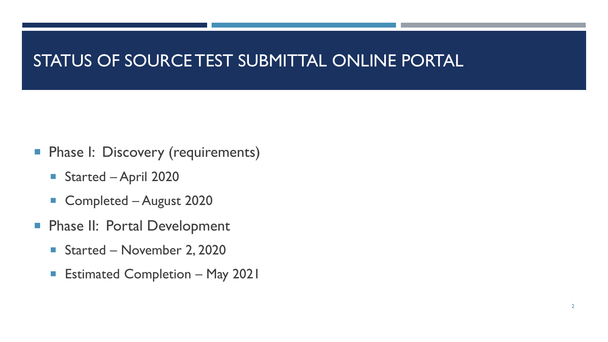### STATUS OF SOURCE TEST SUBMITTAL ONLINE PORTAL

- **Phase I: Discovery (requirements)** 
	- Started April 2020
	- Completed August 2020
- **Phase II: Portal Development** 
	- Started November 2, 2020
	- **Estimated Completion May 2021**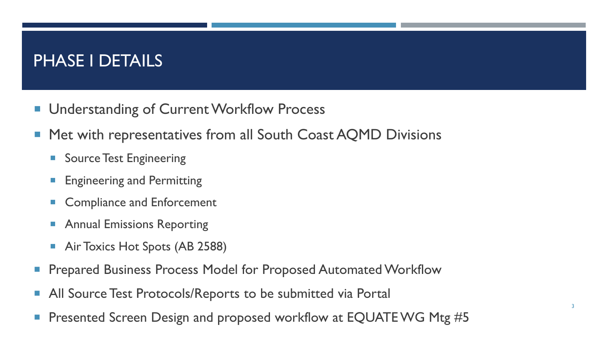### PHASE I DETAILS

- **Understanding of Current Workflow Process**
- Met with representatives from all South Coast AQMD Divisions
	- **Source Test Engineering**
	- **Engineering and Permitting**
	- **Compliance and Enforcement**
	- **Annual Emissions Reporting**
	- **Air Toxics Hot Spots (AB 2588)**
- Prepared Business Process Model for Proposed Automated Workflow
- **All Source Test Protocols/Reports to be submitted via Portal**
- Presented Screen Design and proposed workflow at EQUATE WG Mtg #5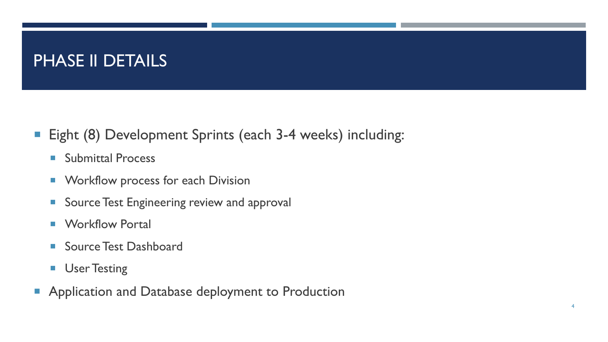### PHASE II DETAILS

- Eight (8) Development Sprints (each 3-4 weeks) including:
	- **Submittal Process**
	- **Norkflow process for each Division**
	- **Source Test Engineering review and approval**
	- **Norkflow Portal**
	- **Source Test Dashboard**
	- **User Testing**
- **Application and Database deployment to Production**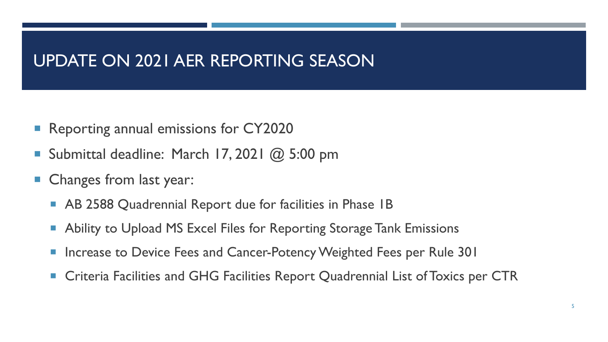#### UPDATE ON 2021 AER REPORTING SEASON

- Reporting annual emissions for CY2020
- Submittal deadline: March 17, 2021  $@$  5:00 pm
- **Changes from last year:** 
	- **AB 2588 Quadrennial Report due for facilities in Phase 1B**
	- **Ability to Upload MS Excel Files for Reporting Storage Tank Emissions**
	- Increase to Device Fees and Cancer-Potency Weighted Fees per Rule 301
	- **EXPTERS Criteria Facilities and GHG Facilities Report Quadrennial List of Toxics per CTR**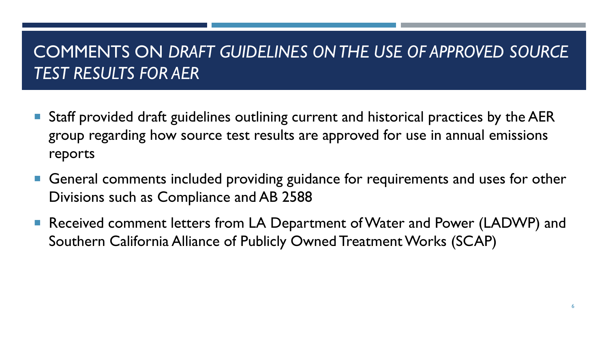### COMMENTS ON *DRAFT GUIDELINES ON THE USE OF APPROVED SOURCE TEST RESULTS FOR AER*

- Staff provided draft guidelines outlining current and historical practices by the AER group regarding how source test results are approved for use in annual emissions reports
- General comments included providing guidance for requirements and uses for other Divisions such as Compliance and AB 2588
- Received comment letters from LA Department of Water and Power (LADWP) and Southern California Alliance of Publicly Owned Treatment Works (SCAP)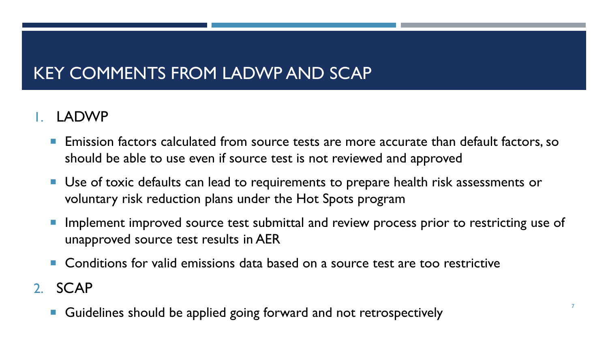## KEY COMMENTS FROM LADWP AND SCAP

#### 1. LADWP

- **Emission factors calculated from source tests are more accurate than default factors, so** should be able to use even if source test is not reviewed and approved
- **Use of toxic defaults can lead to requirements to prepare health risk assessments or** voluntary risk reduction plans under the Hot Spots program
- Implement improved source test submittal and review process prior to restricting use of unapproved source test results in AER
- Conditions for valid emissions data based on a source test are too restrictive
- 2. SCAP
	- Guidelines should be applied going forward and not retrospectively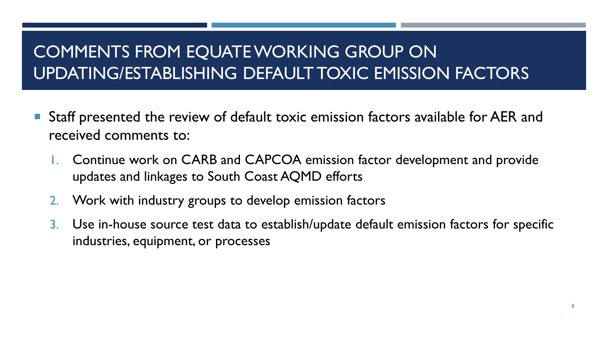# COMMENTS FROM EQUATE WORKING GROUP ON UPDATING/ESTABLISHING DEFAULT TOXIC EMISSION FACTORS

- Staff presented the review of default toxic emission factors available for AER and received comments to:
	- 1. Continue work on CARB and CAPCOA emission factor development and provide updates and linkages to South Coast AQMD efforts
	- 2. Work with industry groups to develop emission factors
	- 3. Use in-house source test data to establish/update default emission factors for specific industries, equipment, or processes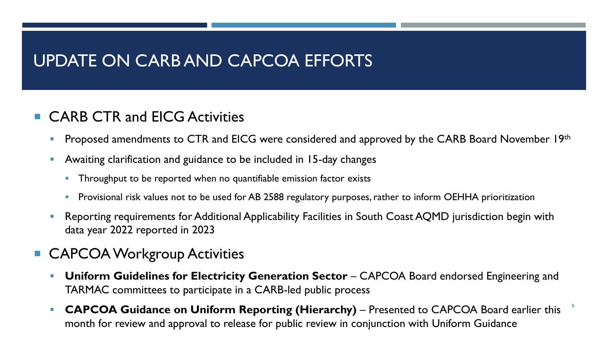### UPDATE ON CARB AND CAPCOA EFFORTS

#### ■ CARB CTR and EICG Activities

- Proposed amendments to CTR and EICG were considered and approved by the CARB Board November 19th
- Awaiting clarification and guidance to be included in 15-day changes
	- Throughput to be reported when no quantifiable emission factor exists
	- Provisional risk values not to be used for AB 2588 regulatory purposes, rather to inform OEHHA prioritization
- Reporting requirements for Additional Applicability Facilities in South Coast AQMD jurisdiction begin with data year 2022 reported in 2023
- **CAPCOA Workgroup Activities** 
	- **Uniform Guidelines for Electricity Generation Sector** CAPCOA Board endorsed Engineering and TARMAC committees to participate in a CARB-led public process
	- 9 **• CAPCOA Guidance on Uniform Reporting (Hierarchy)** – Presented to CAPCOA Board earlier this month for review and approval to release for public review in conjunction with Uniform Guidance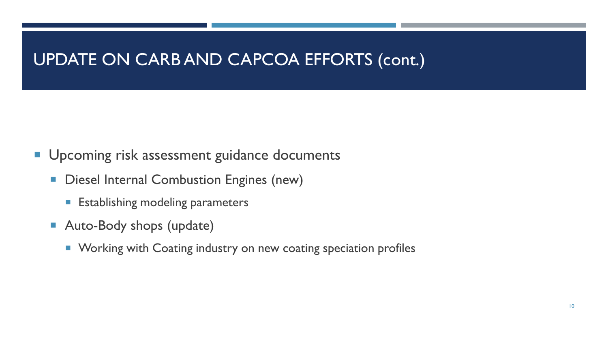### UPDATE ON CARB AND CAPCOA EFFORTS (cont.)

- **Upcoming risk assessment guidance documents** 
	- **Diesel Internal Combustion Engines (new)** 
		- **Establishing modeling parameters**
	- Auto-Body shops (update)
		- **Working with Coating industry on new coating speciation profiles**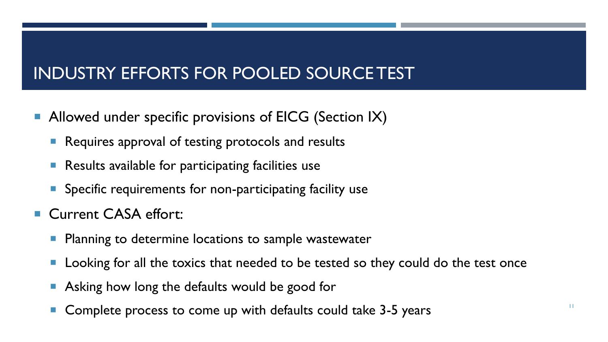## INDUSTRY EFFORTS FOR POOLED SOURCE TEST

- **Allowed under specific provisions of EICG (Section IX)** 
	- **Requires approval of testing protocols and results**
	- **Results available for participating facilities use**
	- **Specific requirements for non-participating facility use**
- Current CASA effort:
	- **Planning to determine locations to sample wastewater**
	- **Looking for all the toxics that needed to be tested so they could do the test once**
	- Asking how long the defaults would be good for
	- Complete process to come up with defaults could take 3-5 years Theorem 2014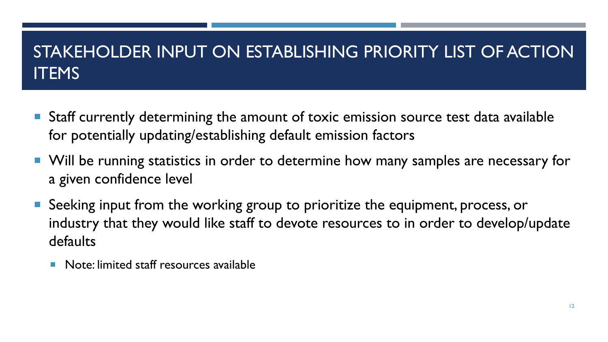## STAKEHOLDER INPUT ON ESTABLISHING PRIORITY LIST OF ACTION **ITEMS**

- **Staff currently determining the amount of toxic emission source test data available** for potentially updating/establishing default emission factors
- Will be running statistics in order to determine how many samples are necessary for a given confidence level
- Seeking input from the working group to prioritize the equipment, process, or industry that they would like staff to devote resources to in order to develop/update defaults
	- **Note:** limited staff resources available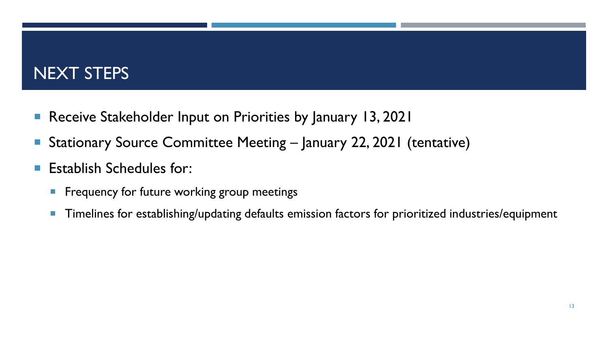### NEXT STEPS

- Receive Stakeholder Input on Priorities by January 13, 2021
- Stationary Source Committee Meeting January 22, 2021 (tentative)
- **Establish Schedules for:** 
	- **Figure 1 Frequency for future working group meetings**
	- **Timelines for establishing/updating defaults emission factors for prioritized industries/equipment**